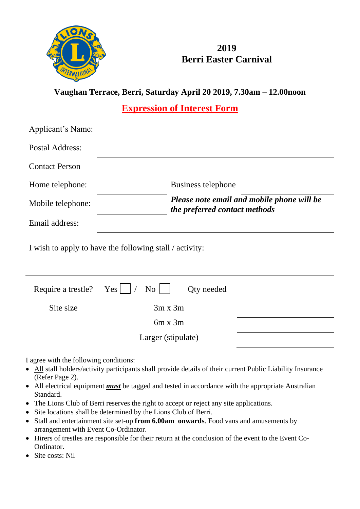

## **2019 Berri Easter Carnival**

**Vaughan Terrace, Berri, Saturday April 20 2019, 7.30am – 12.00noon**

**Expression of Interest Form**

| Applicant's Name:     |                                                         |                                                                             |  |
|-----------------------|---------------------------------------------------------|-----------------------------------------------------------------------------|--|
| Postal Address:       |                                                         |                                                                             |  |
| <b>Contact Person</b> |                                                         |                                                                             |  |
| Home telephone:       |                                                         | Business telephone                                                          |  |
| Mobile telephone:     |                                                         | Please note email and mobile phone will be<br>the preferred contact methods |  |
| Email address:        |                                                         |                                                                             |  |
|                       | I wish to apply to have the following stall / activity: |                                                                             |  |
| Require a trestle?    | Yes<br>No                                               | Qty needed                                                                  |  |
| Site size             | $3m \times 3m$                                          |                                                                             |  |
|                       | $6m \times 3m$                                          |                                                                             |  |
|                       | Larger (stipulate)                                      |                                                                             |  |

I agree with the following conditions:

- All stall holders/activity participants shall provide details of their current Public Liability Insurance (Refer Page 2).
- All electrical equipment *must* be tagged and tested in accordance with the appropriate Australian Standard.
- The Lions Club of Berri reserves the right to accept or reject any site applications.
- Site locations shall be determined by the Lions Club of Berri.
- Stall and entertainment site set-up **from 6.00am onwards**. Food vans and amusements by arrangement with Event Co-Ordinator.
- Hirers of trestles are responsible for their return at the conclusion of the event to the Event Co-Ordinator.
- Site costs: Nil